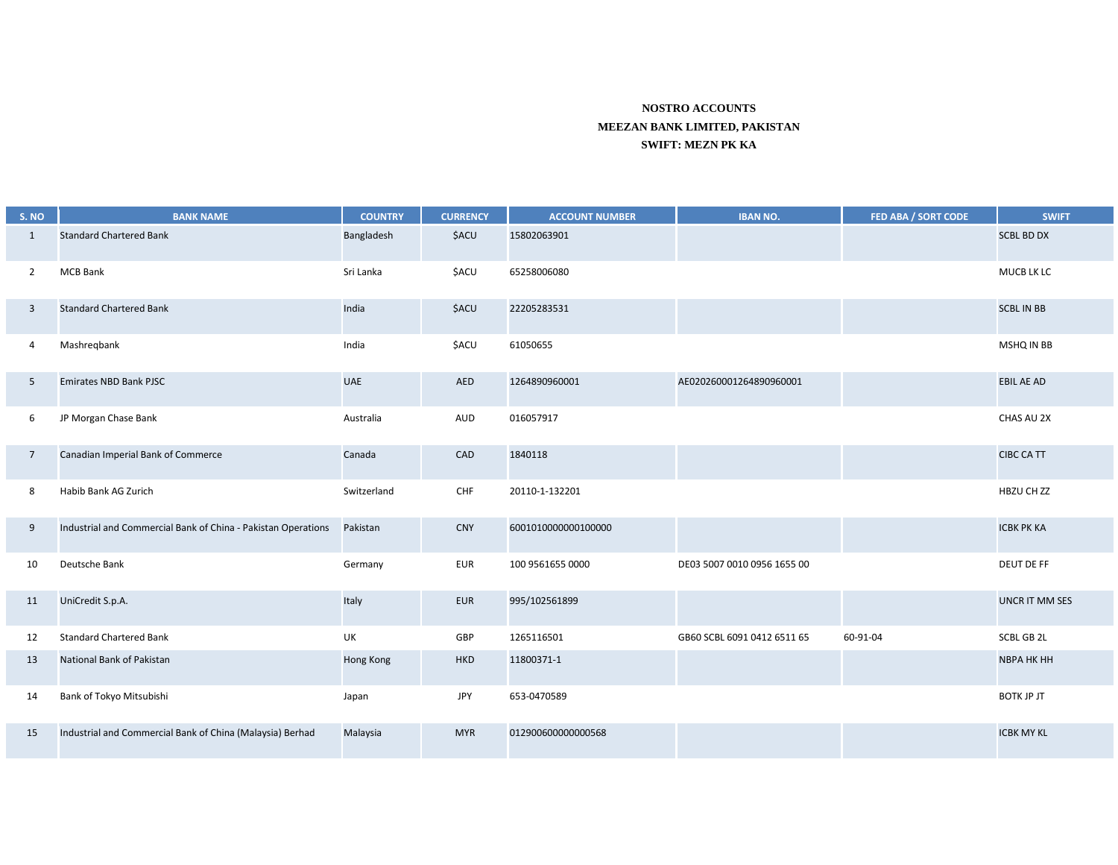## **NOSTRO ACCOUNTS MEEZAN BANK LIMITED, PAKISTAN SWIFT: MEZN PK KA**

| S. NO           | <b>BANK NAME</b>                                              | <b>COUNTRY</b> | <b>CURRENCY</b> | <b>ACCOUNT NUMBER</b> | <b>IBAN NO.</b>             | FED ABA / SORT CODE | <b>SWIFT</b>          |
|-----------------|---------------------------------------------------------------|----------------|-----------------|-----------------------|-----------------------------|---------------------|-----------------------|
| 1               | <b>Standard Chartered Bank</b>                                | Bangladesh     | \$ACU           | 15802063901           |                             |                     | <b>SCBL BD DX</b>     |
| $\overline{2}$  | <b>MCB Bank</b>                                               | Sri Lanka      | <b>\$ACU</b>    | 65258006080           |                             |                     | MUCB LK LC            |
| 3               | <b>Standard Chartered Bank</b>                                | India          | <b>\$ACU</b>    | 22205283531           |                             |                     | <b>SCBL IN BB</b>     |
| 4               | Mashregbank                                                   | India          | <b>\$ACU</b>    | 61050655              |                             |                     | MSHQ IN BB            |
| 5               | <b>Emirates NBD Bank PJSC</b>                                 | <b>UAE</b>     | AED             | 1264890960001         | AE020260001264890960001     |                     | <b>EBIL AE AD</b>     |
| 6               | JP Morgan Chase Bank                                          | Australia      | AUD             | 016057917             |                             |                     | CHAS AU 2X            |
| $7\overline{ }$ | Canadian Imperial Bank of Commerce                            | Canada         | CAD             | 1840118               |                             |                     | <b>CIBC CA TT</b>     |
| 8               | Habib Bank AG Zurich                                          | Switzerland    | CHF             | 20110-1-132201        |                             |                     | HBZU CH ZZ            |
| 9               | Industrial and Commercial Bank of China - Pakistan Operations | Pakistan       | <b>CNY</b>      | 6001010000000100000   |                             |                     | <b>ICBK PK KA</b>     |
| 10              | Deutsche Bank                                                 | Germany        | EUR             | 100 9561655 0000      | DE03 5007 0010 0956 1655 00 |                     | DEUT DE FF            |
| 11              | UniCredit S.p.A.                                              | Italy          | <b>EUR</b>      | 995/102561899         |                             |                     | <b>UNCR IT MM SES</b> |
| 12              | <b>Standard Chartered Bank</b>                                | UK             | GBP             | 1265116501            | GB60 SCBL 6091 0412 6511 65 | 60-91-04            | SCBL GB 2L            |
| 13              | National Bank of Pakistan                                     | Hong Kong      | <b>HKD</b>      | 11800371-1            |                             |                     | <b>NBPA HK HH</b>     |
| 14              | Bank of Tokyo Mitsubishi                                      | Japan          | <b>JPY</b>      | 653-0470589           |                             |                     | <b>BOTK JP JT</b>     |
| 15              | Industrial and Commercial Bank of China (Malaysia) Berhad     | Malaysia       | <b>MYR</b>      | 012900600000000568    |                             |                     | <b>ICBK MY KL</b>     |